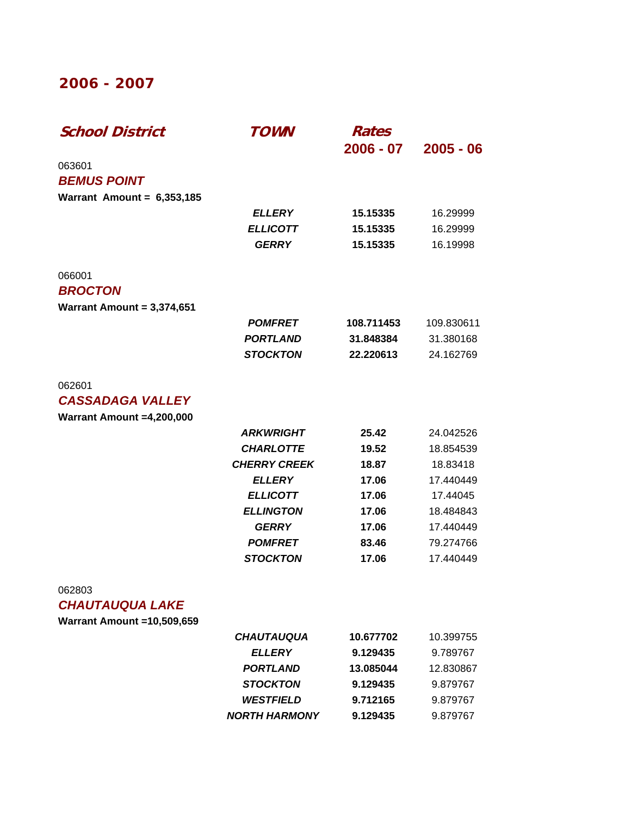### **2006 - 2007**

| <b>School District</b>            | <i>TOWN</i>          | Rates<br>$2006 - 07$ | $2005 - 06$ |
|-----------------------------------|----------------------|----------------------|-------------|
| 063601                            |                      |                      |             |
| <b>BEMUS POINT</b>                |                      |                      |             |
| Warrant Amount = $6,353,185$      |                      |                      |             |
|                                   | <b>ELLERY</b>        | 15.15335             | 16.29999    |
|                                   | <b>ELLICOTT</b>      | 15.15335             | 16.29999    |
|                                   | <b>GERRY</b>         | 15.15335             | 16.19998    |
| 066001                            |                      |                      |             |
| <b>BROCTON</b>                    |                      |                      |             |
| Warrant Amount = $3,374,651$      |                      |                      |             |
|                                   | <b>POMFRET</b>       | 108.711453           | 109.830611  |
|                                   | <b>PORTLAND</b>      | 31.848384            | 31.380168   |
|                                   | <b>STOCKTON</b>      | 22.220613            | 24.162769   |
| 062601                            |                      |                      |             |
| <b>CASSADAGA VALLEY</b>           |                      |                      |             |
| Warrant Amount =4,200,000         |                      |                      |             |
|                                   | <b>ARKWRIGHT</b>     | 25.42                | 24.042526   |
|                                   | <b>CHARLOTTE</b>     | 19.52                | 18.854539   |
|                                   | <b>CHERRY CREEK</b>  | 18.87                | 18.83418    |
|                                   | <b>ELLERY</b>        | 17.06                | 17.440449   |
|                                   | <b>ELLICOTT</b>      | 17.06                | 17.44045    |
|                                   | <b>ELLINGTON</b>     | 17.06                | 18.484843   |
|                                   | <b>GERRY</b>         | 17.06                | 17.440449   |
|                                   | <b>POMFRET</b>       | 83.46                | 79.274766   |
|                                   | <b>STOCKTON</b>      | 17.06                | 17.440449   |
| 062803                            |                      |                      |             |
| <b>CHAUTAUQUA LAKE</b>            |                      |                      |             |
| <b>Warrant Amount =10,509,659</b> |                      |                      |             |
|                                   | <b>CHAUTAUQUA</b>    | 10.677702            | 10.399755   |
|                                   | <b>ELLERY</b>        | 9.129435             | 9.789767    |
|                                   | <b>PORTLAND</b>      | 13.085044            | 12.830867   |
|                                   | <b>STOCKTON</b>      | 9.129435             | 9.879767    |
|                                   | <b>WESTFIELD</b>     | 9.712165             | 9.879767    |
|                                   | <b>NORTH HARMONY</b> | 9.129435             | 9.879767    |
|                                   |                      |                      |             |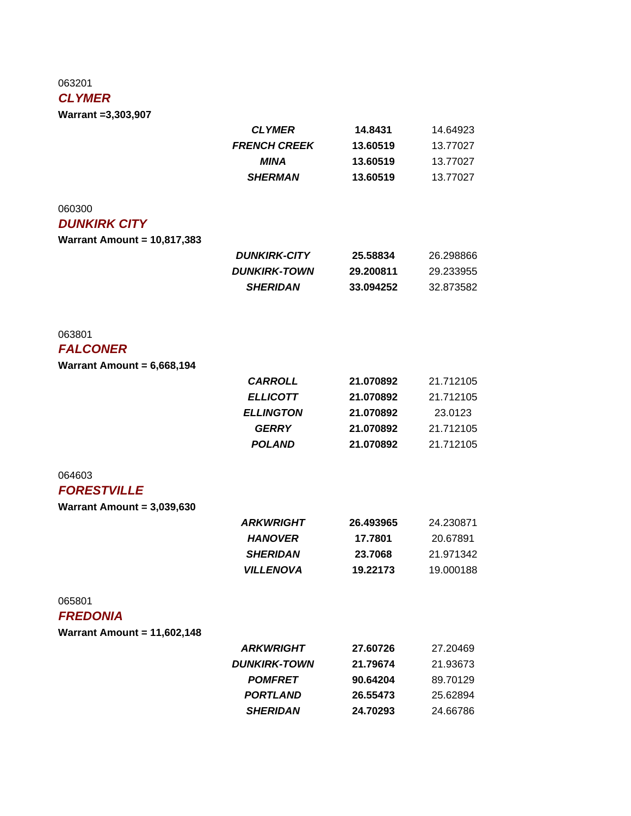### 063201

### *CLYMER*

**Warrant =3,303,907**

|                                    | <b>CLYMER</b>       | 14.8431   | 14.64923  |
|------------------------------------|---------------------|-----------|-----------|
|                                    | <b>FRENCH CREEK</b> | 13.60519  | 13.77027  |
|                                    | <b>MINA</b>         | 13.60519  | 13.77027  |
|                                    | <b>SHERMAN</b>      | 13.60519  | 13.77027  |
|                                    |                     |           |           |
| 060300                             |                     |           |           |
| <b>DUNKIRK CITY</b>                |                     |           |           |
| <b>Warrant Amount = 10,817,383</b> |                     |           |           |
|                                    | <b>DUNKIRK-CITY</b> | 25.58834  | 26.298866 |
|                                    | <b>DUNKIRK-TOWN</b> | 29.200811 | 29.233955 |
|                                    | <b>SHERIDAN</b>     | 33.094252 | 32.873582 |
|                                    |                     |           |           |
| 063801                             |                     |           |           |
| <b>FALCONER</b>                    |                     |           |           |
| Warrant Amount = $6,668,194$       |                     |           |           |
|                                    | <b>CARROLL</b>      | 21.070892 | 21.712105 |
|                                    | <b>ELLICOTT</b>     | 21.070892 | 21.712105 |
|                                    | <b>ELLINGTON</b>    | 21.070892 | 23.0123   |
|                                    | <b>GERRY</b>        | 21.070892 | 21.712105 |
|                                    | <b>POLAND</b>       | 21.070892 | 21.712105 |
| 064603                             |                     |           |           |
| <b>FORESTVILLE</b>                 |                     |           |           |
| Warrant Amount = $3,039,630$       |                     |           |           |
|                                    | <b>ARKWRIGHT</b>    | 26.493965 | 24.230871 |
|                                    | <b>HANOVER</b>      | 17.7801   | 20.67891  |
|                                    | <b>SHERIDAN</b>     | 23.7068   | 21.971342 |
|                                    | <b>VILLENOVA</b>    | 19.22173  | 19.000188 |
| 065801                             |                     |           |           |
| <b>FREDONIA</b>                    |                     |           |           |
| <b>Warrant Amount = 11,602,148</b> |                     |           |           |
|                                    | <b>ARKWRIGHT</b>    | 27.60726  | 27.20469  |
|                                    | <b>DUNKIRK-TOWN</b> | 21.79674  | 21.93673  |
|                                    | <b>POMFRET</b>      | 90.64204  | 89.70129  |
|                                    | <b>PORTLAND</b>     | 26.55473  | 25.62894  |
|                                    | <b>SHERIDAN</b>     | 24.70293  | 24.66786  |
|                                    |                     |           |           |
|                                    |                     |           |           |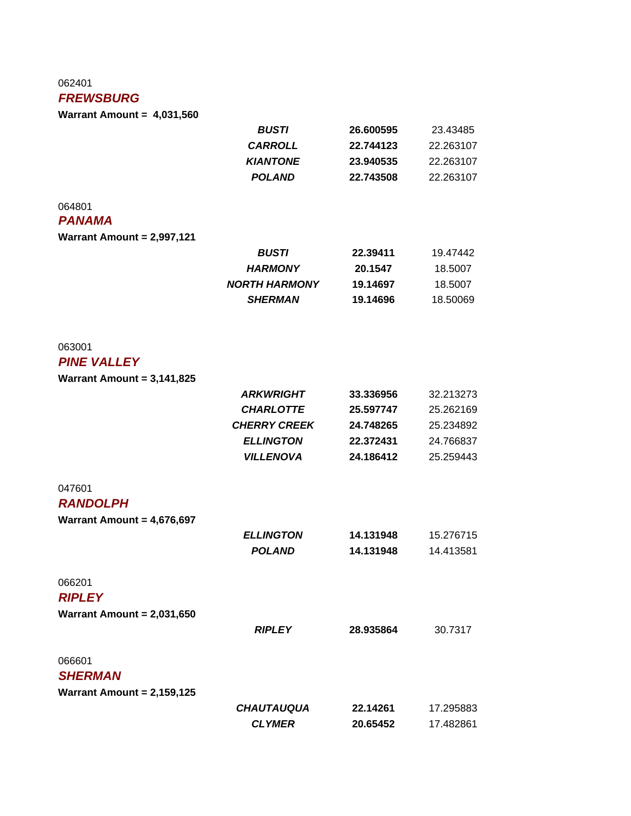#### 062401

#### *FREWSBURG*

**Warrant Amount = 4,031,560**

|                                   | <b>BUSTI</b>         | 26.600595 | 23.43485  |
|-----------------------------------|----------------------|-----------|-----------|
|                                   | <b>CARROLL</b>       | 22.744123 | 22.263107 |
|                                   | <b>KIANTONE</b>      | 23.940535 | 22.263107 |
|                                   | <b>POLAND</b>        | 22.743508 | 22.263107 |
| 064801                            |                      |           |           |
| <b>PANAMA</b>                     |                      |           |           |
| <b>Warrant Amount = 2,997,121</b> |                      |           |           |
|                                   | <b>BUSTI</b>         | 22.39411  | 19.47442  |
|                                   | <b>HARMONY</b>       | 20.1547   | 18.5007   |
|                                   | <b>NORTH HARMONY</b> | 19.14697  | 18.5007   |
|                                   | <b>SHERMAN</b>       | 19.14696  | 18.50069  |
|                                   |                      |           |           |
| 063001                            |                      |           |           |
| <b>PINE VALLEY</b>                |                      |           |           |
| Warrant Amount = $3,141,825$      |                      |           |           |
|                                   | <b>ARKWRIGHT</b>     | 33.336956 | 32.213273 |
|                                   | <b>CHARLOTTE</b>     | 25.597747 | 25.262169 |
|                                   | <b>CHERRY CREEK</b>  | 24.748265 | 25.234892 |
|                                   | <b>ELLINGTON</b>     | 22.372431 | 24.766837 |
|                                   | <b>VILLENOVA</b>     | 24.186412 | 25.259443 |
| 047601                            |                      |           |           |
| <b>RANDOLPH</b>                   |                      |           |           |
| Warrant Amount = $4,676,697$      |                      |           |           |
|                                   | <b>ELLINGTON</b>     | 14.131948 | 15.276715 |
|                                   | <b>POLAND</b>        | 14.131948 | 14.413581 |
| 066201                            |                      |           |           |
| <b>RIPLEY</b>                     |                      |           |           |
| Warrant Amount = $2,031,650$      |                      |           |           |
|                                   | <b>RIPLEY</b>        | 28.935864 | 30.7317   |
| 066601                            |                      |           |           |
| <b>SHERMAN</b>                    |                      |           |           |
| Warrant Amount = $2,159,125$      |                      |           |           |
|                                   | <b>CHAUTAUQUA</b>    | 22.14261  | 17.295883 |
|                                   | <b>CLYMER</b>        | 20.65452  | 17.482861 |
|                                   |                      |           |           |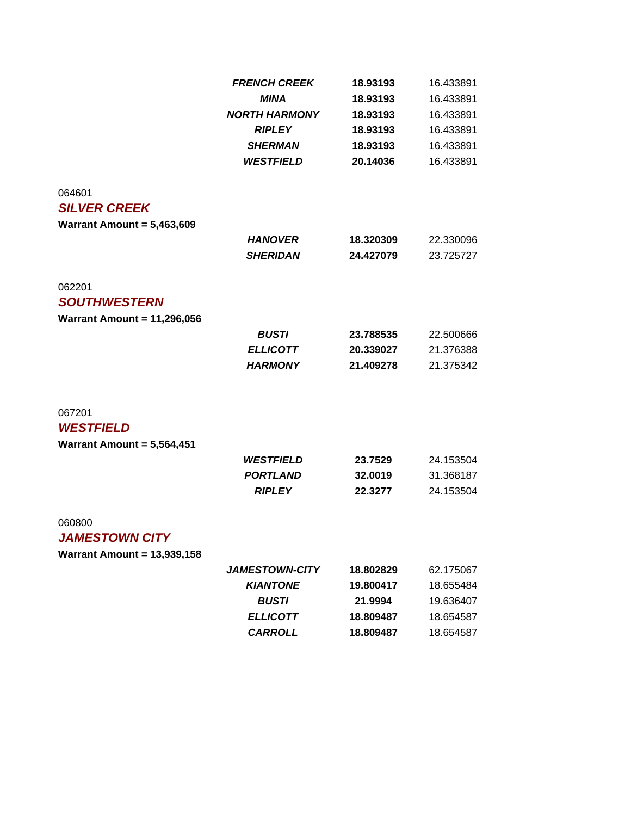|                                    | <b>FRENCH CREEK</b><br><b>MINA</b> | 18.93193  | 16.433891<br>16.433891 |
|------------------------------------|------------------------------------|-----------|------------------------|
|                                    |                                    | 18.93193  |                        |
|                                    | <b>NORTH HARMONY</b>               | 18.93193  | 16.433891              |
|                                    | <b>RIPLEY</b>                      | 18.93193  | 16.433891              |
|                                    | <b>SHERMAN</b>                     | 18.93193  | 16.433891              |
|                                    | <b>WESTFIELD</b>                   | 20.14036  | 16.433891              |
| 064601                             |                                    |           |                        |
| <b>SILVER CREEK</b>                |                                    |           |                        |
| Warrant Amount = $5,463,609$       |                                    |           |                        |
|                                    | <b>HANOVER</b>                     | 18.320309 | 22.330096              |
|                                    | <b>SHERIDAN</b>                    | 24.427079 | 23.725727              |
| 062201                             |                                    |           |                        |
| <b>SOUTHWESTERN</b>                |                                    |           |                        |
| Warrant Amount = $11,296,056$      |                                    |           |                        |
|                                    | <b>BUSTI</b>                       | 23.788535 | 22.500666              |
|                                    | <b>ELLICOTT</b>                    | 20.339027 | 21.376388              |
|                                    | <b>HARMONY</b>                     | 21.409278 | 21.375342              |
| 067201                             |                                    |           |                        |
| <b>WESTFIELD</b>                   |                                    |           |                        |
| Warrant Amount = $5,564,451$       |                                    |           |                        |
|                                    | <b>WESTFIELD</b>                   | 23.7529   | 24.153504              |
|                                    | <b>PORTLAND</b>                    | 32.0019   | 31.368187              |
|                                    | <b>RIPLEY</b>                      | 22.3277   | 24.153504              |
| 060800                             |                                    |           |                        |
| <b>JAMESTOWN CITY</b>              |                                    |           |                        |
| <b>Warrant Amount = 13,939,158</b> |                                    |           |                        |
|                                    | <b>JAMESTOWN-CITY</b>              | 18.802829 | 62.175067              |
|                                    | <b>KIANTONE</b>                    | 19.800417 | 18.655484              |
|                                    | <b>BUSTI</b>                       | 21.9994   | 19.636407              |
|                                    | <b>ELLICOTT</b>                    | 18.809487 | 18.654587              |
|                                    | <b>CARROLL</b>                     | 18.809487 | 18.654587              |
|                                    |                                    |           |                        |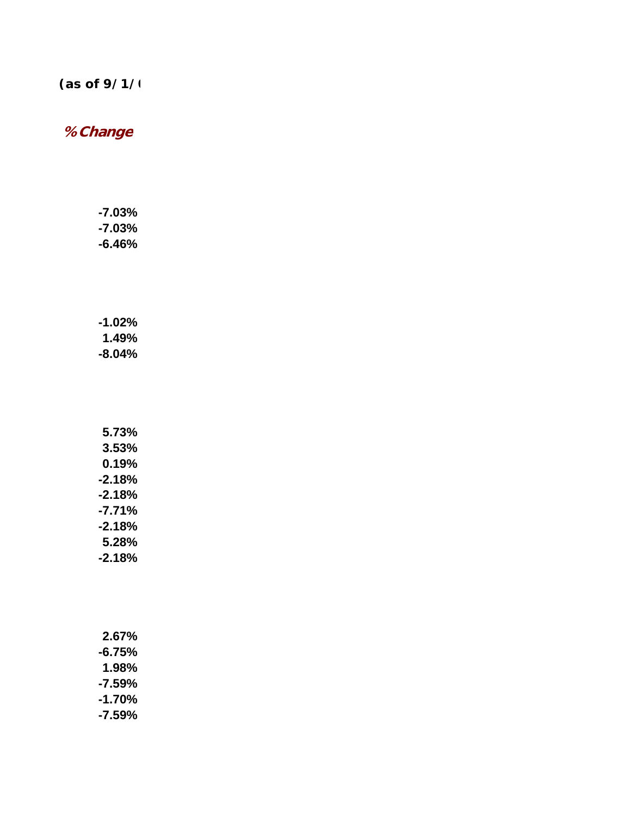## *(as of 9/1/0*

# **% Change**

| -7.03% |
|--------|
| -7.03% |
| -6.46% |

| $-1.02%$ |
|----------|
| 1.49%    |
| -8.04%   |

| 5.73%    |
|----------|
| 3.53%    |
| $0.19\%$ |
| $-2.18%$ |
| $-2.18%$ |
| $-7.71%$ |
| $-2.18%$ |
| 5.28%    |
| $-2.18%$ |

| 2.67%  |
|--------|
| -6.75% |
| 1.98%  |
| -7.59% |
| -1.70% |
| -7.59% |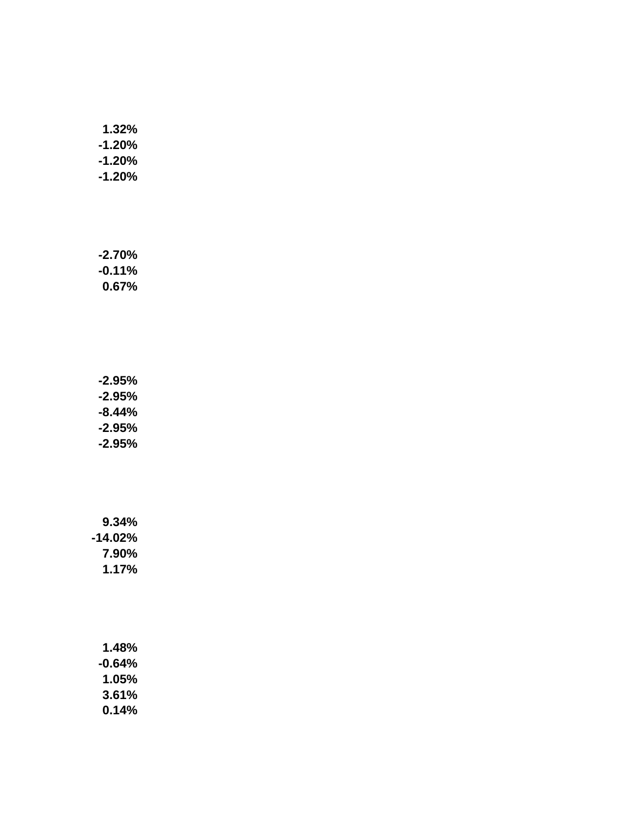| 1.32%     |
|-----------|
| -1.20%    |
| $-1.20\%$ |
| -1.20%    |

**-2.70% -0.11% 0.67%**

**-2.95% -2.95% -8.44% -2.95% -2.95%**

**9.34% -14.02% 7.90% 1.17%**

> **1.48% -0.64% 1.05% 3.61% 0.14%**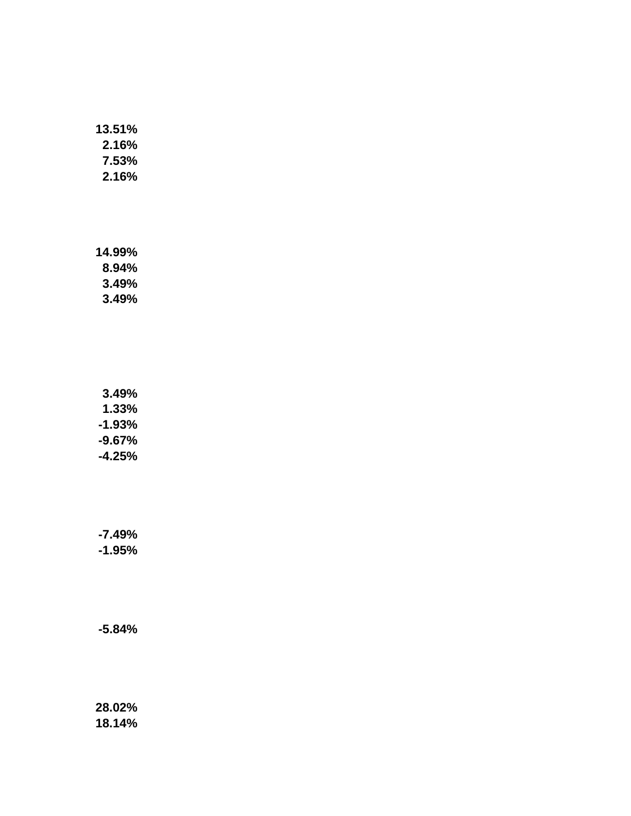| 13.51%   |
|----------|
| $2.16\%$ |
| 7.53%    |
| $2.16\%$ |

**14.99% 8.94% 3.49% 3.49%**

**3.49% 1.33% -1.93% -9.67% -4.25%**

**-7.49% -1.95%**

**-5.84%**

**28.02% 18.14%**